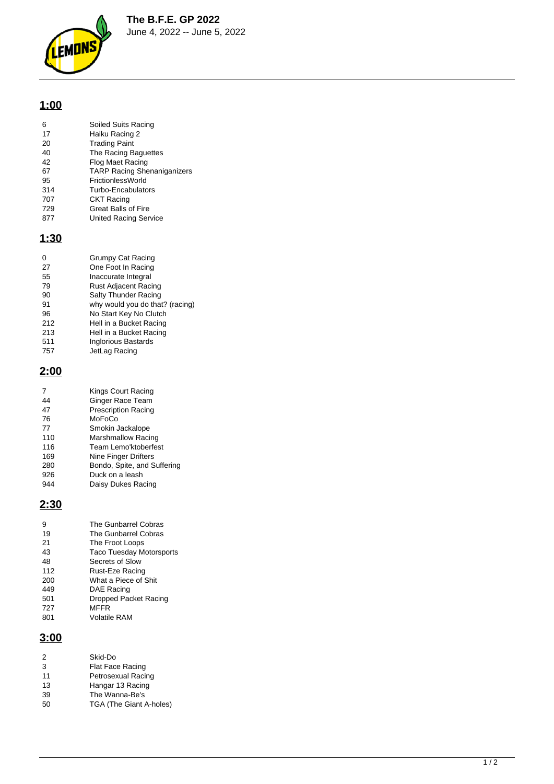**The B.F.E. GP 2022**



June 4, 2022 -- June 5, 2022

# **1:00**

| 6   | Soiled Suits Racing                |
|-----|------------------------------------|
| 17  | Haiku Racing 2                     |
| 20  | <b>Trading Paint</b>               |
| 40  | The Racing Baguettes               |
| 42  | Flog Maet Racing                   |
| 67  | <b>TARP Racing Shenaniganizers</b> |
| 95  | FrictionlessWorld                  |
| 314 | Turbo-Encabulators                 |
| 707 | <b>CKT Racing</b>                  |
| 729 | <b>Great Balls of Fire</b>         |
| 877 | United Racing Service              |
|     |                                    |

# **1:30**

| 0   | <b>Grumpy Cat Racing</b>        |
|-----|---------------------------------|
| 27  | One Foot In Racing              |
| 55  | Inaccurate Integral             |
| 79  | Rust Adjacent Racing            |
| 90  | Salty Thunder Racing            |
| 91  | why would you do that? (racing) |
| 96  | No Start Key No Clutch          |
| 212 | Hell in a Bucket Racing         |
| 213 | Hell in a Bucket Racing         |
| 511 | <b>Inglorious Bastards</b>      |
| 757 | JetLag Racing                   |

#### **2:00**

| Kings Court Racing          |
|-----------------------------|
| <b>Ginger Race Team</b>     |
| <b>Prescription Racing</b>  |
| MoFoCo                      |
| Smokin Jackalope            |
| <b>Marshmallow Racing</b>   |
| Team Lemo'ktoberfest        |
| Nine Finger Drifters        |
| Bondo, Spite, and Suffering |
| Duck on a leash             |
| Daisy Dukes Racing          |
|                             |

## **2:30**

| The Gunbarrel Cobras            |
|---------------------------------|
| The Gunbarrel Cobras            |
| The Froot Loops                 |
| <b>Taco Tuesday Motorsports</b> |
| Secrets of Slow                 |
| Rust-Eze Racing                 |
| What a Piece of Shit            |
| DAE Racing                      |
| Dropped Packet Racing           |
| MFFR                            |
| <b>Volatile RAM</b>             |
|                                 |

# **3:00**

| 2  | Skid-Do                 |
|----|-------------------------|
| 3  | <b>Flat Face Racing</b> |
| 11 | Petrosexual Racing      |
| 13 | Hangar 13 Racing        |
| 39 | The Wanna-Be's          |
| 50 | TGA (The Giant A-holes) |